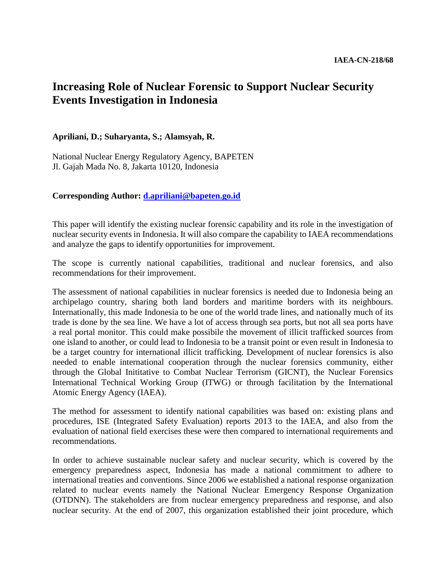## **Increasing Role of Nuclear Forensic to Support Nuclear Security Events Investigation in Indonesia**

## **Apriliani, D.; Suharyanta, S.; Alamsyah, R.**

National Nuclear Energy Regulatory Agency, BAPETEN Jl. Gajah Mada No. 8, Jakarta 10120, Indonesia

## **Corresponding Author: [d.apriliani@bapeten.go.id](mailto:d.apriliani@bapeten.go.id)**

This paper will identify the existing nuclear forensic capability and its role in the investigation of nuclear security events in Indonesia. It will also compare the capability to IAEA recommendations and analyze the gaps to identify opportunities for improvement.

The scope is currently national capabilities, traditional and nuclear forensics, and also recommendations for their improvement.

The assessment of national capabilities in nuclear forensics is needed due to Indonesia being an archipelago country, sharing both land borders and maritime borders with its neighbours. Internationally, this made Indonesia to be one of the world trade lines, and nationally much of its trade is done by the sea line. We have a lot of access through sea ports, but not all sea ports have a real portal monitor. This could make possibile the movement of illicit trafficked sources from one island to another, or could lead to Indonesia to be a transit point or even result in Indonesia to be a target country for international illicit trafficking. Development of nuclear forensics is also needed to enable international cooperation through the nuclear forensics community, either through the Global Inititative to Combat Nuclear Terrorism (GICNT), the Nuclear Forensics International Technical Working Group (ITWG) or through facilitation by the International Atomic Energy Agency (IAEA).

The method for assessment to identify national capabilities was based on: existing plans and procedures, ISE (Integrated Safety Evaluation) reports 2013 to the IAEA, and also from the evaluation of national field exercises these were then compared to international requirements and recommendations.

In order to achieve sustainable nuclear safety and nuclear security, which is covered by the emergency preparedness aspect, Indonesia has made a national commitment to adhere to international treaties and conventions. Since 2006 we established a national response organization related to nuclear events namely the National Nuclear Emergency Response Organization (OTDNN). The stakeholders are from nuclear emergency preparedness and response, and also nuclear security. At the end of 2007, this organization established their joint procedure, which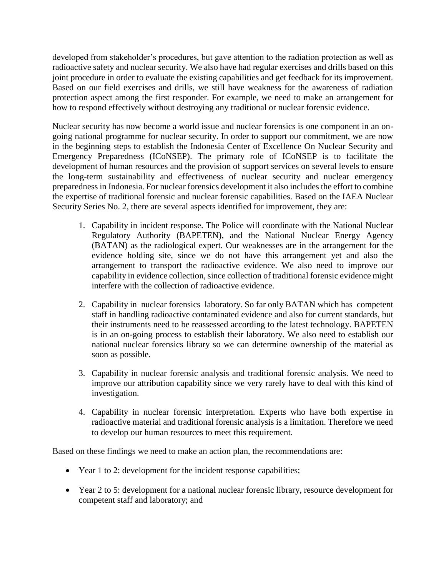developed from stakeholder's procedures, but gave attention to the radiation protection as well as radioactive safety and nuclear security. We also have had regular exercises and drills based on this joint procedure in order to evaluate the existing capabilities and get feedback for its improvement. Based on our field exercises and drills, we still have weakness for the awareness of radiation protection aspect among the first responder. For example, we need to make an arrangement for how to respond effectively without destroying any traditional or nuclear forensic evidence.

Nuclear security has now become a world issue and nuclear forensics is one component in an ongoing national programme for nuclear security. In order to support our commitment, we are now in the beginning steps to establish the Indonesia Center of Excellence On Nuclear Security and Emergency Preparedness (ICoNSEP). The primary role of ICoNSEP is to facilitate the development of human resources and the provision of support services on several levels to ensure the long-term sustainability and effectiveness of nuclear security and nuclear emergency preparedness in Indonesia. For nuclear forensics development it also includes the effort to combine the expertise of traditional forensic and nuclear forensic capabilities. Based on the IAEA Nuclear Security Series No. 2, there are several aspects identified for improvement, they are:

- 1. Capability in incident response. The Police will coordinate with the National Nuclear Regulatory Authority (BAPETEN), and the National Nuclear Energy Agency (BATAN) as the radiological expert. Our weaknesses are in the arrangement for the evidence holding site, since we do not have this arrangement yet and also the arrangement to transport the radioactive evidence. We also need to improve our capability in evidence collection, since collection of traditional forensic evidence might interfere with the collection of radioactive evidence.
- 2. Capability in nuclear forensics laboratory. So far only BATAN which has competent staff in handling radioactive contaminated evidence and also for current standards, but their instruments need to be reassessed according to the latest technology. BAPETEN is in an on-going process to establish their laboratory. We also need to establish our national nuclear forensics library so we can determine ownership of the material as soon as possible.
- 3. Capability in nuclear forensic analysis and traditional forensic analysis. We need to improve our attribution capability since we very rarely have to deal with this kind of investigation.
- 4. Capability in nuclear forensic interpretation. Experts who have both expertise in radioactive material and traditional forensic analysis is a limitation. Therefore we need to develop our human resources to meet this requirement.

Based on these findings we need to make an action plan, the recommendations are:

- Year 1 to 2: development for the incident response capabilities;
- Year 2 to 5: development for a national nuclear forensic library, resource development for competent staff and laboratory; and